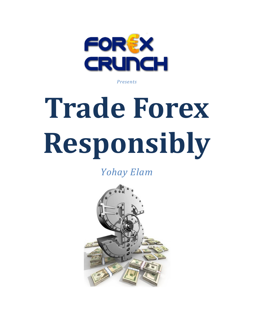

*Presents* 

# **Trade Forex Responsibly**

# *Yohay Elam*

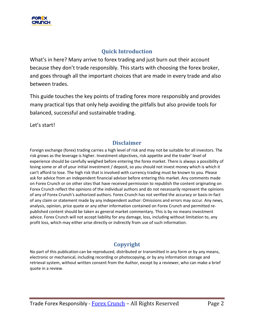

# **Quick Introduction**

<span id="page-1-0"></span>What's in here? Many arrive to forex trading and just burn out their account because they don't trade responsibly. This starts with choosing the forex broker, and goes through all the important choices that are made in every trade and also between trades.

This guide touches the key points of trading forex more responsibly and provides many practical tips that only help avoiding the pitfalls but also provide tools for balanced, successful and sustainable trading.

<span id="page-1-1"></span>Let's start!

#### **Disclaimer**

Foreign exchange (forex) trading carries a high level of risk and may not be suitable for all investors. The risk grows as the leverage is higher. Investment objectives, risk appetite and the trader' level of experience should be carefully weighed before entering the forex market. There is always a possibility of losing some or all of your initial investment / deposit, so you should not invest money which is which it can't afford to lose. The high risk that is involved with currency trading must be known to you. Please ask for advice from an independent financial advisor before entering this market. Any comments made on Forex Crunch or on other sites that have received permission to republish the content originating on Forex Crunch reflect the opinions of the individual authors and do not necessarily represent the opinions of any of Forex Crunch's authorized authors. Forex Crunch has not verified the accuracy or basis-in-fact of any claim or statement made by any independent author: Omissions and errors may occur. Any news, analysis, opinion, price quote or any other information contained on Forex Crunch and permitted republished content should be taken as general market commentary. This is by no means investment advice. Forex Crunch will not accept liability for any damage, loss, including without limitation to, any profit loss, which may either arise directly or indirectly from use of such information.

# **Copyright**

<span id="page-1-2"></span>No part of this publication can be reproduced, distributed or transmitted in any form or by any means, electronic or mechanical, including recording or photocopying, or by any information storage and retrieval system, without written consent from the Author, except by a reviewer, who can make a brief quote in a review.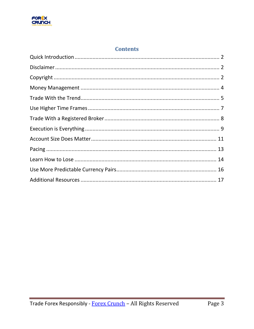

# **Contents**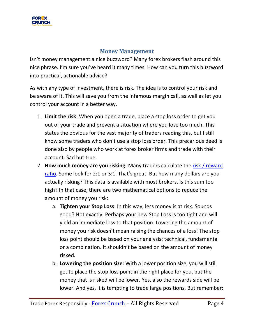

# **Money Management**

<span id="page-3-0"></span>Isn't money management a nice buzzword? Many forex brokers flash around this nice phrase. I'm sure you've heard it many times. How can you turn this buzzword into practical, actionable advice?

As with any type of investment, there is risk. The idea is to control your risk and be aware of it. This will save you from the infamous margin call, as well as let you control your account in a better way.

- 1. **Limit the risk**: When you open a trade, place a stop loss order to get you out of your trade and prevent a situation where you lose too much. This states the obvious for the vast majority of traders reading this, but I still know some traders who don't use a stop loss order. This precarious deed is done also by people who work at forex broker firms and trade with their account. Sad but true.
- 2. **How much money are you risking**: Many traders calculate the [risk / reward](http://www.forexcrunch.com/dont-risk-your-reward/?utm_source=eBook&utm_medium=email&utm_campaign=TradeForexResponsibly)  [ratio](http://www.forexcrunch.com/dont-risk-your-reward/?utm_source=eBook&utm_medium=email&utm_campaign=TradeForexResponsibly). Some look for 2:1 or 3:1. That's great. But how many dollars are you actually risking? This data is available with most brokers. Is this sum too high? In that case, there are two mathematical options to reduce the amount of money you risk:
	- a. **Tighten your Stop Loss**: In this way, less money is at risk. Sounds good? Not exactly. Perhaps your new Stop Loss is too tight and will yield an immediate loss to that position. Lowering the amount of money you risk doesn't mean raising the chances of a loss! The stop loss point should be based on your analysis: technical, fundamental or a combination. It shouldn't be based on the amount of money risked.
	- b. **Lowering the position size**: With a lower position size, you will still get to place the stop loss point in the right place for you, but the money that is risked will be lower. Yes, also the rewards side will be lower. And yes, it is tempting to trade large positions. But remember: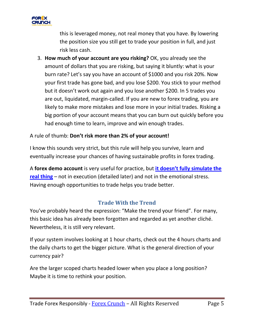

this is leveraged money, not real money that you have. By lowering the position size you still get to trade your position in full, and just risk less cash.

3. **How much of your account are you risking?** OK, you already see the amount of dollars that you are risking, but saying it bluntly: what is your burn rate? Let's say you have an account of \$1000 and you risk 20%. Now your first trade has gone bad, and you lose \$200. You stick to your method but it doesn't work out again and you lose another \$200. In 5 trades you are out, liquidated, margin-called. If you are new to forex trading, you are likely to make more mistakes and lose more in your initial trades. Risking a big portion of your account means that you can burn out quickly before you had enough time to learn, improve and win enough trades.

#### A rule of thumb: **Don't risk more than 2% of your account!**

I know this sounds very strict, but this rule will help you survive, learn and eventually increase your chances of having sustainable profits in forex trading.

A **forex demo account** is very useful for practice, but **[it doesn't fully simulate the](http://www.forexcrunch.com/4-pitfalls-of-demo-accounts/)  [real thing](http://www.forexcrunch.com/4-pitfalls-of-demo-accounts/)** – not in execution (detailed later) and not in the emotional stress. Having enough opportunities to trade helps you trade better.

#### **Trade With the Trend**

<span id="page-4-0"></span>You've probably heard the expression: "Make the trend your friend". For many, this basic idea has already been forgotten and regarded as yet another cliché. Nevertheless, it is still very relevant.

If your system involves looking at 1 hour charts, check out the 4 hours charts and the daily charts to get the bigger picture. What is the general direction of your currency pair?

Are the larger scoped charts headed lower when you place a long position? Maybe it is time to rethink your position.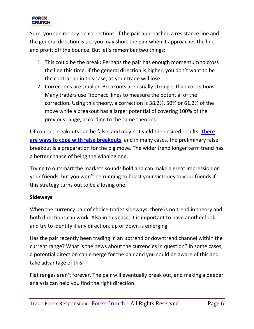

Sure, you can money on corrections. If the pair approached a resistance line and the general direction is up, you may short the pair when it approaches the line and profit off the bounce. But let's remember two things:

- 1. This could be the break: Perhaps the pair has enough momentum to cross the line this time. If the general direction is higher, you don't want to be the contrarian in this case, as your trade will lose.
- 2. Corrections are smaller: Breakouts are usually stronger than corrections. Many traders use Fibonacci lines to measure the potential of the correction. Using this theory, a correction is 38.2%, 50% or 61.2% of the move while a breakout has a larger potential of covering 100% of the previous range, according to the same theories.

Of course, breakouts can be false, and may not yield the desired results. **[There](http://www.forexcrunch.com/haunted-by-false-breaks-theres-one-thing-you-shouldnt-do/?utm_source=eBook&utm_medium=email&utm_campaign=TradeForexResponsibly)  [are ways to cope with false breakouts](http://www.forexcrunch.com/haunted-by-false-breaks-theres-one-thing-you-shouldnt-do/?utm_source=eBook&utm_medium=email&utm_campaign=TradeForexResponsibly)**, and in many cases, the preliminary false breakout is a preparation for the big move. The wider trend longer term trend has a better chance of being the winning one.

Trying to outsmart the markets sounds bold and can make a great impression on your friends, but you won't be running to boast your victories to your friends if this strategy turns out to be a losing one.

#### **Sideways**

When the currency pair of choice trades sideways, there is no trend in theory and both directions can work. Also in this case, it is important to have another look and try to identify if any direction, up or down is emerging.

Has the pair recently been trading in an uptrend or downtrend channel within the current range? What is the news about the currencies in question? In some cases, a potential direction can emerge for the pair and you could be aware of this and take advantage of this.

Flat ranges aren't forever. The pair will eventually break out, and making a deeper analysis can help you find the right direction.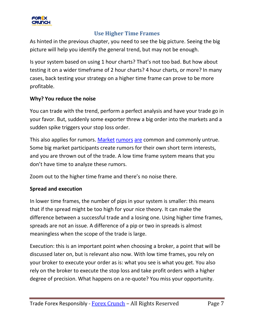

## **Use Higher Time Frames**

<span id="page-6-0"></span>As hinted in the previous chapter, you need to see the big picture. Seeing the big picture will help you identify the general trend, but may not be enough.

Is your system based on using 1 hour charts? That's not too bad. But how about testing it on a wider timeframe of 2 hour charts? 4 hour charts, or more? In many cases, back testing your strategy on a higher time frame can prove to be more profitable.

#### **Why? You reduce the noise**

You can trade with the trend, perform a perfect analysis and have your trade go in your favor. But, suddenly some exporter threw a big order into the markets and a sudden spike triggers your stop loss order.

This also applies for rumors. [Market](http://www.forexcrunch.com/rumor-spain-will-ask-for-280-billion-of-aid/?utm_source=eBook&utm_medium=email&utm_campaign=TradeForexResponsibly) [rumors](http://www.forexcrunch.com/rumor-sp-will-downgrade-us-credit-rating-after-markets-close/) [are](http://www.forexcrunch.com/societe-generale-bankrupt-rumors-in-markets/?utm_source=eBook&utm_medium=email&utm_campaign=TradeForexResponsibly) common and commonly untrue. Some big market participants create rumors for their own short term interests, and you are thrown out of the trade. A low time frame system means that you don't have time to analyze these rumors.

Zoom out to the higher time frame and there's no noise there.

#### **Spread and execution**

In lower time frames, the number of pips in your system is smaller: this means that if the spread might be too high for your nice theory. It can make the difference between a successful trade and a losing one. Using higher time frames, spreads are not an issue. A difference of a pip or two in spreads is almost meaningless when the scope of the trade is large.

Execution: this is an important point when choosing a broker, a point that will be discussed later on, but is relevant also now. With low time frames, you rely on your broker to execute your order as is: what you see is what you get. You also rely on the broker to execute the stop loss and take profit orders with a higher degree of precision. What happens on a re-quote? You miss your opportunity.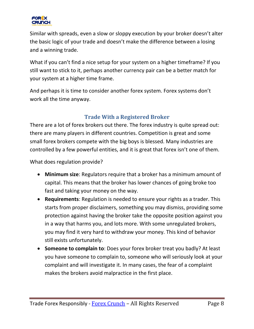

Similar with spreads, even a slow or sloppy execution by your broker doesn't alter the basic logic of your trade and doesn't make the difference between a losing and a winning trade.

What if you can't find a nice setup for your system on a higher timeframe? If you still want to stick to it, perhaps another currency pair can be a better match for your system at a higher time frame.

And perhaps it is time to consider another forex system. Forex systems don't work all the time anyway.

# **Trade With a Registered Broker**

<span id="page-7-0"></span>There are a lot of forex brokers out there. The forex industry is quite spread out: there are many players in different countries. Competition is great and some small forex brokers compete with the big boys is blessed. Many industries are controlled by a few powerful entities, and it is great that forex isn't one of them.

What does regulation provide?

- **Minimum size**: Regulators require that a broker has a minimum amount of capital. This means that the broker has lower chances of going broke too fast and taking your money on the way.
- **Requirements**: Regulation is needed to ensure your rights as a trader. This starts from proper disclaimers, something you may dismiss, providing some protection against having the broker take the opposite position against you in a way that harms you, and lots more. With some unregulated brokers, you may find it very hard to withdraw your money. This kind of behavior still exists unfortunately.
- **Someone to complain to**: Does your forex broker treat you badly? At least you have someone to complain to, someone who will seriously look at your complaint and will investigate it. In many cases, the fear of a complaint makes the brokers avoid malpractice in the first place.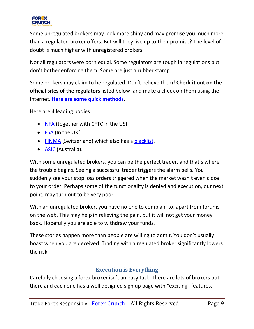

Some unregulated brokers may look more shiny and may promise you much more than a regulated broker offers. But will they live up to their promise? The level of doubt is much higher with unregistered brokers.

Not all regulators were born equal. Some regulators are tough in regulations but don't bother enforcing them. Some are just a rubber stamp.

Some brokers may claim to be regulated. Don't believe them! **Check it out on the official sites of the regulators** listed below, and make a check on them using the internet. **[Here are some quick methods](http://www.forexcrunch.com/5-points-on-how-to-chose-a-forex-broker-in-2011/?utm_source=eBook&utm_medium=email&utm_campaign=TradeForexResponsibly)**.

Here are 4 leading bodies

- [NFA](http://www.nfa.futures.org/basicnet/) (together with CFTC in the US)
- [FSA](http://www.fsa.gov.uk/register/firmSearchForm.do) (In the UK)
- [FINMA](http://www.finma.ch/e/beaufsichtigte/bewilligungstraeger/Pages/default-a.aspx) (Switzerland) which also has a [blacklist.](http://www.finma.ch/e/sanktionen/unbewilligte-institute/Pages/default.aspx)
- **ASIC** (Australia).

With some unregulated brokers, you can be the perfect trader, and that's where the trouble begins. Seeing a successful trader triggers the alarm bells. You suddenly see your stop loss orders triggered when the market wasn't even close to your order. Perhaps some of the functionality is denied and execution, our next point, may turn out to be very poor.

With an unregulated broker, you have no one to complain to, apart from forums on the web. This may help in relieving the pain, but it will not get your money back. Hopefully you are able to withdraw your funds.

These stories happen more than people are willing to admit. You don't usually boast when you are deceived. Trading with a regulated broker significantly lowers the risk.

# **Execution is Everything**

<span id="page-8-0"></span>Carefully choosing a forex broker isn't an easy task. There are lots of brokers out there and each one has a well designed sign up page with "exciting" features.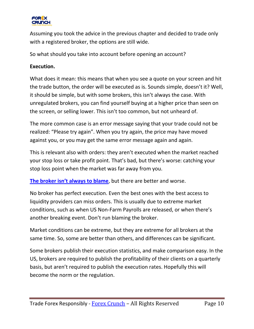

Assuming you took the advice in the previous chapter and decided to trade only with a registered broker, the options are still wide.

So what should you take into account before opening an account?

#### **Execution.**

What does it mean: this means that when you see a quote on your screen and hit the trade button, the order will be executed as is. Sounds simple, doesn't it? Well, it should be simple, but with some brokers, this isn't always the case. With unregulated brokers, you can find yourself buying at a higher price than seen on the screen, or selling lower. This isn't too common, but not unheard of.

The more common case is an error message saying that your trade could not be realized: "Please try again". When you try again, the price may have moved against you, or you may get the same error message again and again.

This is relevant also with orders: they aren't executed when the market reached your stop loss or take profit point. That's bad, but there's worse: catching your stop loss point when the market was far away from you.

**[The broker isn't always to blame](http://www.forexcrunch.com/dont-blame-the-broker/?utm_source=eBook&utm_medium=email&utm_campaign=TradeForexResponsibly)**, but there are better and worse.

No broker has perfect execution. Even the best ones with the best access to liquidity providers can miss orders. This is usually due to extreme market conditions, such as when US Non-Farm Payrolls are released, or when there's another breaking event. Don't run blaming the broker.

Market conditions can be extreme, but they are extreme for all brokers at the same time. So, some are better than others, and differences can be significant.

Some brokers publish their execution statistics, and make comparison easy. In the US, brokers are required to publish the profitability of their clients on a quarterly basis, but aren't required to publish the execution rates. Hopefully this will become the norm or the regulation.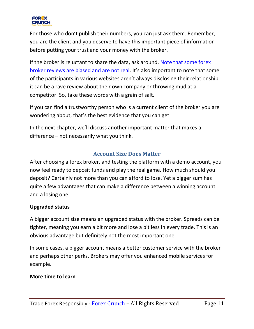

For those who don't publish their numbers, you can just ask them. Remember, you are the client and you deserve to have this important piece of information before putting your trust and your money with the broker.

If the broker is reluctant to share the data, ask around. [Note that some forex](http://www.forexcrunch.com/5-ways-to-identify-fake-forex-broker-reviews/?utm_source=eBook&utm_medium=email&utm_campaign=TradeForexResponsibly)  [broker reviews are biased and are not real](http://www.forexcrunch.com/5-ways-to-identify-fake-forex-broker-reviews/?utm_source=eBook&utm_medium=email&utm_campaign=TradeForexResponsibly). It's also important to note that some of the participants in various websites aren't always disclosing their relationship: it can be a rave review about their own company or throwing mud at a competitor. So, take these words with a grain of salt.

If you can find a trustworthy person who is a current client of the broker you are wondering about, that's the best evidence that you can get.

In the next chapter, we'll discuss another important matter that makes a difference – not necessarily what you think.

# **Account Size Does Matter**

<span id="page-10-0"></span>After choosing a forex broker, and testing the platform with a demo account, you now feel ready to deposit funds and play the real game. How much should you deposit? Certainly not more than you can afford to lose. Yet a bigger sum has quite a few advantages that can make a difference between a winning account and a losing one.

#### **Upgraded status**

A bigger account size means an upgraded status with the broker. Spreads can be tighter, meaning you earn a bit more and lose a bit less in every trade. This is an obvious advantage but definitely not the most important one.

In some cases, a bigger account means a better customer service with the broker and perhaps other perks. Brokers may offer you enhanced mobile services for example.

#### **More time to learn**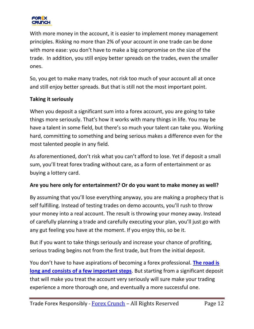

With more money in the account, it is easier to implement money management principles. Risking no more than 2% of your account in one trade can be done with more ease: you don't have to make a big compromise on the size of the trade. In addition, you still enjoy better spreads on the trades, even the smaller ones.

So, you get to make many trades, not risk too much of your account all at once and still enjoy better spreads. But that is still not the most important point.

#### **Taking it seriously**

When you deposit a significant sum into a forex account, you are going to take things more seriously. That's how it works with many things in life. You may be have a talent in some field, but there's so much your talent can take you. Working hard, committing to something and being serious makes a difference even for the most talented people in any field.

As aforementioned, don't risk what you can't afford to lose. Yet if deposit a small sum, you'll treat forex trading without care, as a form of entertainment or as buying a lottery card.

#### **Are you here only for entertainment? Or do you want to make money as well?**

By assuming that you'll lose everything anyway, you are making a prophecy that is self fulfilling. Instead of testing trades on demo accounts, you'll rush to throw your money into a real account. The result is throwing your money away. Instead of carefully planning a trade and carefully executing your plan, you'll just go with any gut feeling you have at the moment. If you enjoy this, so be it.

But if you want to take things seriously and increase your chance of profiting, serious trading begins not from the first trade, but from the initial deposit.

You don't have to have aspirations of becoming a forex professional. **[The road is](http://www.forexcrunch.com/5-points-on-when-to-go-pro/?utm_source=eBook&utm_medium=email&utm_campaign=TradeForexResponsibly)  [long and consists of a few important steps](http://www.forexcrunch.com/5-points-on-when-to-go-pro/?utm_source=eBook&utm_medium=email&utm_campaign=TradeForexResponsibly)**. But starting from a significant deposit that will make you treat the account very seriously will sure make your trading experience a more thorough one, and eventually a more successful one.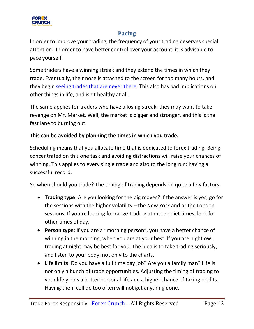

# **Pacing**

<span id="page-12-0"></span>In order to improve your trading, the frequency of your trading deserves special attention. In order to have better control over your account, it is advisable to pace yourself.

Some traders have a winning streak and they extend the times in which they trade. Eventually, their nose is attached to the screen for too many hours, and they begin [seeing trades that are never there.](http://www.forexcrunch.com/are-you-forcing-yourself-into-a-position/?utm_source=eBook&utm_medium=email&utm_campaign=TradeForexResponsibly) This also has bad implications on other things in life, and isn't healthy at all.

The same applies for traders who have a losing streak: they may want to take revenge on Mr. Market. Well, the market is bigger and stronger, and this is the fast lane to burning out.

#### **This can be avoided by planning the times in which you trade.**

Scheduling means that you allocate time that is dedicated to forex trading. Being concentrated on this one task and avoiding distractions will raise your chances of winning. This applies to every single trade and also to the long run: having a successful record.

So when should you trade? The timing of trading depends on quite a few factors.

- **Trading type**: Are you looking for the big moves? If the answer is yes, go for the sessions with the higher volatility – the New York and or the London sessions. If you're looking for range trading at more quiet times, look for other times of day.
- **Person type**: If you are a "morning person", you have a better chance of winning in the morning, when you are at your best. If you are night owl, trading at night may be best for you. The idea is to take trading seriously, and listen to your body, not only to the charts.
- **Life limits**: Do you have a full time day job? Are you a family man? Life is not only a bunch of trade opportunities. Adjusting the timing of trading to your life yields a better personal life and a higher chance of taking profits. Having them collide too often will not get anything done.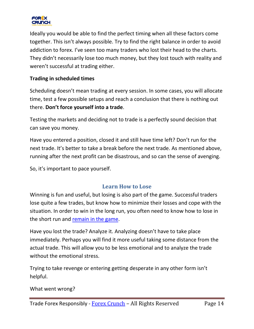

Ideally you would be able to find the perfect timing when all these factors come together. This isn't always possible. Try to find the right balance in order to avoid addiction to forex. I've seen too many traders who lost their head to the charts. They didn't necessarily lose too much money, but they lost touch with reality and weren't successful at trading either.

### **Trading in scheduled times**

Scheduling doesn't mean trading at every session. In some cases, you will allocate time, test a few possible setups and reach a conclusion that there is nothing out there. **Don't force yourself into a trade**.

Testing the markets and deciding not to trade is a perfectly sound decision that can save you money.

Have you entered a position, closed it and still have time left? Don't run for the next trade. It's better to take a break before the next trade. As mentioned above, running after the next profit can be disastrous, and so can the sense of avenging.

<span id="page-13-0"></span>So, it's important to pace yourself.

# **Learn How to Lose**

Winning is fun and useful, but losing is also part of the game. Successful traders lose quite a few trades, but know how to minimize their losses and cope with the situation. In order to win in the long run, you often need to know how to lose in the short run and [remain in the game.](http://www.forexcrunch.com/reasons-to-not-quit-trading/?utm_source=eBook&utm_medium=email&utm_campaign=TradeForexResponsibly)

Have you lost the trade? Analyze it. Analyzing doesn't have to take place immediately. Perhaps you will find it more useful taking some distance from the actual trade. This will allow you to be less emotional and to analyze the trade without the emotional stress.

Trying to take revenge or entering getting desperate in any other form isn't helpful.

What went wrong?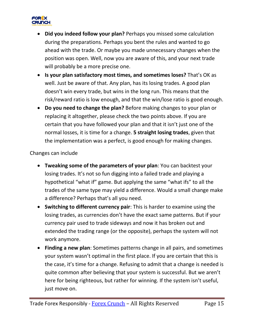

- **Did you indeed follow your plan?** Perhaps you missed some calculation during the preparations. Perhaps you bent the rules and wanted to go ahead with the trade. Or maybe you made unnecessary changes when the position was open. Well, now you are aware of this, and your next trade will probably be a more precise one.
- **Is your plan satisfactory most times, and sometimes loses?** That's OK as well. Just be aware of that. Any plan, has its losing trades. A good plan doesn't win every trade, but wins in the long run. This means that the risk/reward ratio is low enough, and that the win/lose ratio is good enough.
- **Do you need to change the plan?** Before making changes to your plan or replacing it altogether, please check the two points above. If you are certain that you have followed your plan and that it isn't just one of the normal losses, it is time for a change. **5 straight losing trades**, given that the implementation was a perfect, is good enough for making changes.

Changes can include

- **Tweaking some of the parameters of your plan**: You can backtest your losing trades. It's not so fun digging into a failed trade and playing a hypothetical "what if" game. But applying the same "what ifs" to all the trades of the same type may yield a difference. Would a small change make a difference? Perhaps that's all you need.
- **Switching to different currency pair**: This is harder to examine using the losing trades, as currencies don't have the exact same patterns. But if your currency pair used to trade sideways and now it has broken out and extended the trading range (or the opposite), perhaps the system will not work anymore.
- **Finding a new plan**: Sometimes patterns change in all pairs, and sometimes your system wasn't optimal in the first place. If you are certain that this is the case, it's time for a change. Refusing to admit that a change is needed is quite common after believing that your system is successful. But we aren't here for being righteous, but rather for winning. If the system isn't useful, just move on.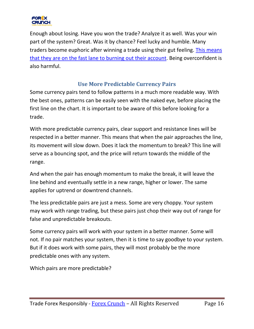

Enough about losing. Have you won the trade? Analyze it as well. Was your win part of the system? Great. Was it by chance? Feel lucky and humble. Many traders become euphoric after winning a trade using their gut feeling. [This means](http://www.forexcrunch.com/5-tips-for-avoiding-forex-euphoria/?utm_source=eBook&utm_medium=email&utm_campaign=TradeForexResponsibly)  [that they are on the fast lane to burning out their account.](http://www.forexcrunch.com/5-tips-for-avoiding-forex-euphoria/?utm_source=eBook&utm_medium=email&utm_campaign=TradeForexResponsibly) Being overconfident is also harmful.

# **Use More Predictable Currency Pairs**

<span id="page-15-0"></span>Some currency pairs tend to follow patterns in a much more readable way. With the best ones, patterns can be easily seen with the naked eye, before placing the first line on the chart. It is important to be aware of this before looking for a trade.

With more predictable currency pairs, clear support and resistance lines will be respected in a better manner. This means that when the pair approaches the line, its movement will slow down. Does it lack the momentum to break? This line will serve as a bouncing spot, and the price will return towards the middle of the range.

And when the pair has enough momentum to make the break, it will leave the line behind and eventually settle in a new range, higher or lower. The same applies for uptrend or downtrend channels.

The less predictable pairs are just a mess. Some are very choppy. Your system may work with range trading, but these pairs just chop their way out of range for false and unpredictable breakouts.

Some currency pairs will work with your system in a better manner. Some will not. If no pair matches your system, then it is time to say goodbye to your system. But if it does work with some pairs, they will most probably be the more predictable ones with any system.

Which pairs are more predictable?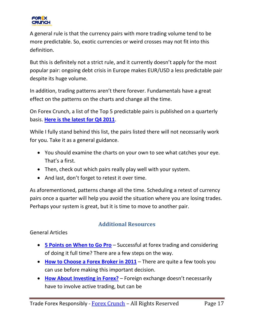

A general rule is that the currency pairs with more trading volume tend to be more predictable. So, exotic currencies or weird crosses may not fit into this definition.

But this is definitely not a strict rule, and it currently doesn't apply for the most popular pair: ongoing debt crisis in Europe makes EUR/USD a less predictable pair despite its huge volume.

In addition, trading patterns aren't there forever. Fundamentals have a great effect on the patterns on the charts and change all the time.

On Forex Crunch, a list of the Top 5 predictable pairs is published on a quarterly basis. **[Here is the latest for Q4 2011](http://www.forexcrunch.com/5-most-predictable-currency-pairs-q4-2011/?utm_source=eBook&utm_medium=email&utm_campaign=TradeForexResponsibly)**.

While I fully stand behind this list, the pairs listed there will not necessarily work for you. Take it as a general guidance.

- You should examine the charts on your own to see what catches your eye. That's a first.
- Then, check out which pairs really play well with your system.
- And last, don't forget to retest it over time.

As aforementioned, patterns change all the time. Scheduling a retest of currency pairs once a quarter will help you avoid the situation where you are losing trades. Perhaps your system is great, but it is time to move to another pair.

# **Additional Resources**

<span id="page-16-0"></span>General Articles

- **[5 Points on When to Go Pro](http://www.forexcrunch.com/5-points-on-when-to-go-pro/?utm_source=eBook&utm_medium=email&utm_campaign=TradeForexResponsibly)** Successful at forex trading and considering of doing it full time? There are a few steps on the way.
- **[How to Choose a Forex Broker in 2011](http://www.forexcrunch.com/5-points-on-how-to-chose-a-forex-broker-in-2011/?utm_source=eBook&utm_medium=email&utm_campaign=TradeForexResponsibly)** There are quite a few tools you can use before making this important decision.
- **[How About Investing in Forex?](http://www.forexcrunch.com/how-about-investing-in-forex/?utm_source=eBook&utm_medium=email&utm_campaign=TradeForexResponsibly)** Foreign exchange doesn't necessarily have to involve active trading, but can be